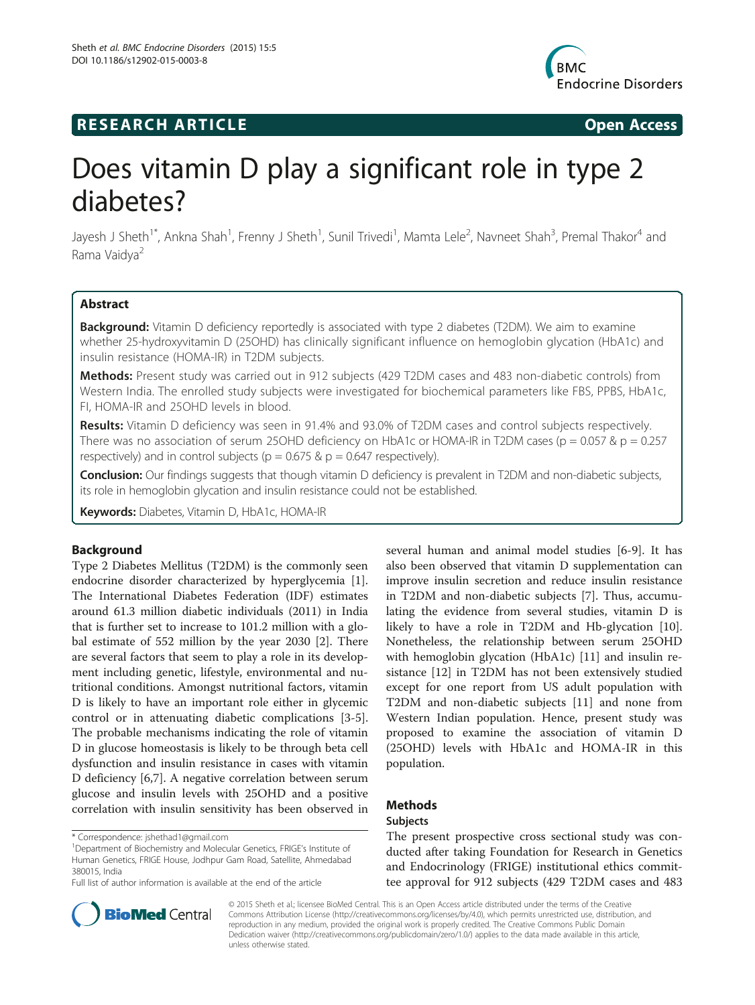# **RESEARCH ARTICLE Example 2018 CONSIDERING CONSIDERING CONSIDERING CONSIDERING CONSIDERING CONSIDERING CONSIDERING CONSIDERING CONSIDERING CONSIDERING CONSIDERING CONSIDERING CONSIDERING CONSIDERING CONSIDERING CONSIDE**



# Does vitamin D play a significant role in type 2 diabetes?

Jayesh J Sheth<sup>1\*</sup>, Ankna Shah<sup>1</sup>, Frenny J Sheth<sup>1</sup>, Sunil Trivedi<sup>1</sup>, Mamta Lele<sup>2</sup>, Navneet Shah<sup>3</sup>, Premal Thakor<sup>4</sup> and Rama Vaidya<sup>2</sup>

# Abstract

Background: Vitamin D deficiency reportedly is associated with type 2 diabetes (T2DM). We aim to examine whether 25-hydroxyvitamin D (25OHD) has clinically significant influence on hemoglobin glycation (HbA1c) and insulin resistance (HOMA-IR) in T2DM subjects.

Methods: Present study was carried out in 912 subjects (429 T2DM cases and 483 non-diabetic controls) from Western India. The enrolled study subjects were investigated for biochemical parameters like FBS, PPBS, HbA1c, FI, HOMA-IR and 25OHD levels in blood.

Results: Vitamin D deficiency was seen in 91.4% and 93.0% of T2DM cases and control subjects respectively. There was no association of serum 25OHD deficiency on HbA1c or HOMA-IR in T2DM cases ( $p = 0.057$  &  $p = 0.257$ respectively) and in control subjects ( $p = 0.675$  &  $p = 0.647$  respectively).

Conclusion: Our findings suggests that though vitamin D deficiency is prevalent in T2DM and non-diabetic subjects, its role in hemoglobin glycation and insulin resistance could not be established.

Keywords: Diabetes, Vitamin D, HbA1c, HOMA-IR

# Background

Type 2 Diabetes Mellitus (T2DM) is the commonly seen endocrine disorder characterized by hyperglycemia [\[1](#page-6-0)]. The International Diabetes Federation (IDF) estimates around 61.3 million diabetic individuals (2011) in India that is further set to increase to 101.2 million with a global estimate of 552 million by the year 2030 [\[2\]](#page-6-0). There are several factors that seem to play a role in its development including genetic, lifestyle, environmental and nutritional conditions. Amongst nutritional factors, vitamin D is likely to have an important role either in glycemic control or in attenuating diabetic complications [[3-5](#page-6-0)]. The probable mechanisms indicating the role of vitamin D in glucose homeostasis is likely to be through beta cell dysfunction and insulin resistance in cases with vitamin D deficiency [[6,7\]](#page-6-0). A negative correlation between serum glucose and insulin levels with 25OHD and a positive correlation with insulin sensitivity has been observed in



# Methods

# Subjects

The present prospective cross sectional study was conducted after taking Foundation for Research in Genetics and Endocrinology (FRIGE) institutional ethics committee approval for 912 subjects (429 T2DM cases and 483



© 2015 Sheth et al.; licensee BioMed Central. This is an Open Access article distributed under the terms of the Creative Commons Attribution License [\(http://creativecommons.org/licenses/by/4.0\)](http://creativecommons.org/licenses/by/4.0), which permits unrestricted use, distribution, and reproduction in any medium, provided the original work is properly credited. The Creative Commons Public Domain Dedication waiver [\(http://creativecommons.org/publicdomain/zero/1.0/](http://creativecommons.org/publicdomain/zero/1.0/)) applies to the data made available in this article, unless otherwise stated.

<sup>\*</sup> Correspondence: [jshethad1@gmail.com](mailto:jshethad1@gmail.com) <sup>1</sup>

Department of Biochemistry and Molecular Genetics, FRIGE's Institute of Human Genetics, FRIGE House, Jodhpur Gam Road, Satellite, Ahmedabad 380015, India

Full list of author information is available at the end of the article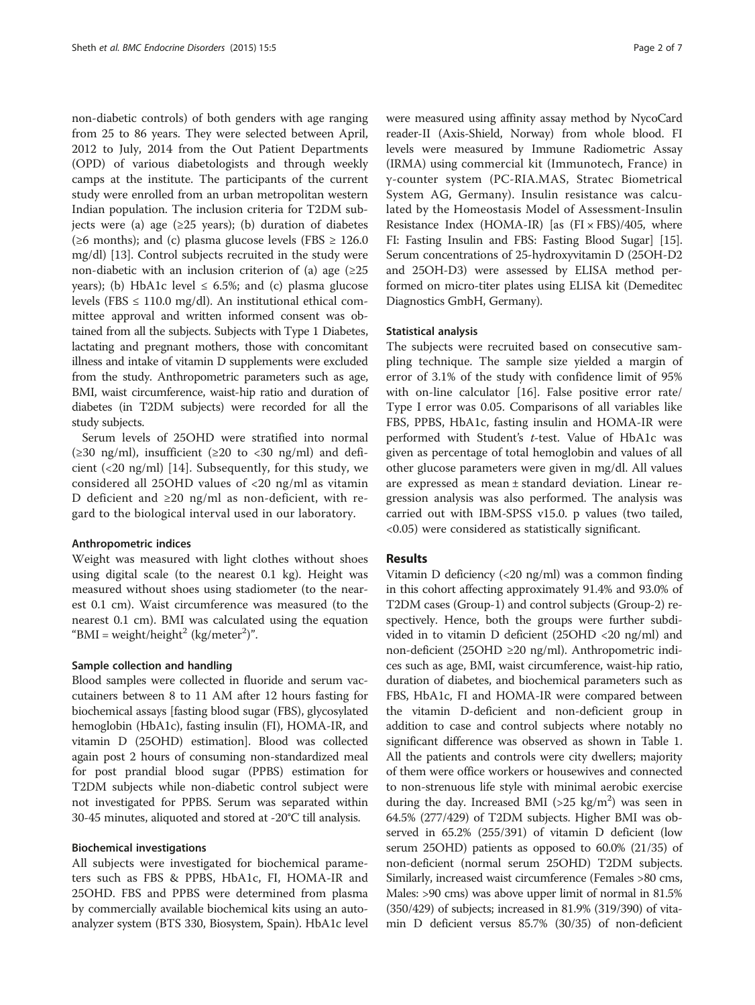non-diabetic controls) of both genders with age ranging from 25 to 86 years. They were selected between April, 2012 to July, 2014 from the Out Patient Departments (OPD) of various diabetologists and through weekly camps at the institute. The participants of the current study were enrolled from an urban metropolitan western Indian population. The inclusion criteria for T2DM subjects were (a) age  $(\geq 25$  years); (b) duration of diabetes ( $\geq 6$  months); and (c) plasma glucose levels (FBS  $\geq 126.0$ ) mg/dl) [\[13](#page-6-0)]. Control subjects recruited in the study were non-diabetic with an inclusion criterion of (a) age  $(≥25$ years); (b) HbA1c level  $\leq$  6.5%; and (c) plasma glucose levels (FBS  $\leq$  110.0 mg/dl). An institutional ethical committee approval and written informed consent was obtained from all the subjects. Subjects with Type 1 Diabetes, lactating and pregnant mothers, those with concomitant illness and intake of vitamin D supplements were excluded from the study. Anthropometric parameters such as age, BMI, waist circumference, waist-hip ratio and duration of diabetes (in T2DM subjects) were recorded for all the study subjects.

Serum levels of 25OHD were stratified into normal ( $\geq$ 30 ng/ml), insufficient ( $\geq$ 20 to <30 ng/ml) and deficient  $\langle$  (<20 ng/ml) [[14](#page-6-0)]. Subsequently, for this study, we considered all 25OHD values of <20 ng/ml as vitamin D deficient and ≥20 ng/ml as non-deficient, with regard to the biological interval used in our laboratory.

#### Anthropometric indices

Weight was measured with light clothes without shoes using digital scale (to the nearest 0.1 kg). Height was measured without shoes using stadiometer (to the nearest 0.1 cm). Waist circumference was measured (to the nearest 0.1 cm). BMI was calculated using the equation "BMI = weight/height<sup>2</sup> (kg/meter<sup>2</sup>)".

### Sample collection and handling

Blood samples were collected in fluoride and serum vaccutainers between 8 to 11 AM after 12 hours fasting for biochemical assays [fasting blood sugar (FBS), glycosylated hemoglobin (HbA1c), fasting insulin (FI), HOMA-IR, and vitamin D (25OHD) estimation]. Blood was collected again post 2 hours of consuming non-standardized meal for post prandial blood sugar (PPBS) estimation for T2DM subjects while non-diabetic control subject were not investigated for PPBS. Serum was separated within 30-45 minutes, aliquoted and stored at -20°C till analysis.

# Biochemical investigations

All subjects were investigated for biochemical parameters such as FBS & PPBS, HbA1c, FI, HOMA-IR and 25OHD. FBS and PPBS were determined from plasma by commercially available biochemical kits using an autoanalyzer system (BTS 330, Biosystem, Spain). HbA1c level were measured using affinity assay method by NycoCard reader-II (Axis-Shield, Norway) from whole blood. FI levels were measured by Immune Radiometric Assay (IRMA) using commercial kit (Immunotech, France) in γ-counter system (PC-RIA.MAS, Stratec Biometrical System AG, Germany). Insulin resistance was calculated by the Homeostasis Model of Assessment-Insulin Resistance Index (HOMA-IR) [as  $(FI \times FBS)/405$ , where FI: Fasting Insulin and FBS: Fasting Blood Sugar] [[15](#page-6-0)]. Serum concentrations of 25-hydroxyvitamin D (25OH-D2 and 25OH-D3) were assessed by ELISA method performed on micro-titer plates using ELISA kit (Demeditec Diagnostics GmbH, Germany).

# Statistical analysis

The subjects were recruited based on consecutive sampling technique. The sample size yielded a margin of error of 3.1% of the study with confidence limit of 95% with on-line calculator [[16\]](#page-6-0). False positive error rate/ Type I error was 0.05. Comparisons of all variables like FBS, PPBS, HbA1c, fasting insulin and HOMA-IR were performed with Student's t-test. Value of HbA1c was given as percentage of total hemoglobin and values of all other glucose parameters were given in mg/dl. All values are expressed as mean ± standard deviation. Linear regression analysis was also performed. The analysis was carried out with IBM-SPSS v15.0. p values (two tailed, <0.05) were considered as statistically significant.

### Results

Vitamin D deficiency (<20 ng/ml) was a common finding in this cohort affecting approximately 91.4% and 93.0% of T2DM cases (Group-1) and control subjects (Group-2) respectively. Hence, both the groups were further subdivided in to vitamin D deficient (25OHD <20 ng/ml) and non-deficient (25OHD ≥20 ng/ml). Anthropometric indices such as age, BMI, waist circumference, waist-hip ratio, duration of diabetes, and biochemical parameters such as FBS, HbA1c, FI and HOMA-IR were compared between the vitamin D-deficient and non-deficient group in addition to case and control subjects where notably no significant difference was observed as shown in Table [1](#page-2-0). All the patients and controls were city dwellers; majority of them were office workers or housewives and connected to non-strenuous life style with minimal aerobic exercise during the day. Increased BMI  $(>25 \text{ kg/m}^2)$  was seen in 64.5% (277/429) of T2DM subjects. Higher BMI was observed in 65.2% (255/391) of vitamin D deficient (low serum 25OHD) patients as opposed to 60.0% (21/35) of non-deficient (normal serum 25OHD) T2DM subjects. Similarly, increased waist circumference (Females >80 cms, Males: >90 cms) was above upper limit of normal in 81.5% (350/429) of subjects; increased in 81.9% (319/390) of vitamin D deficient versus 85.7% (30/35) of non-deficient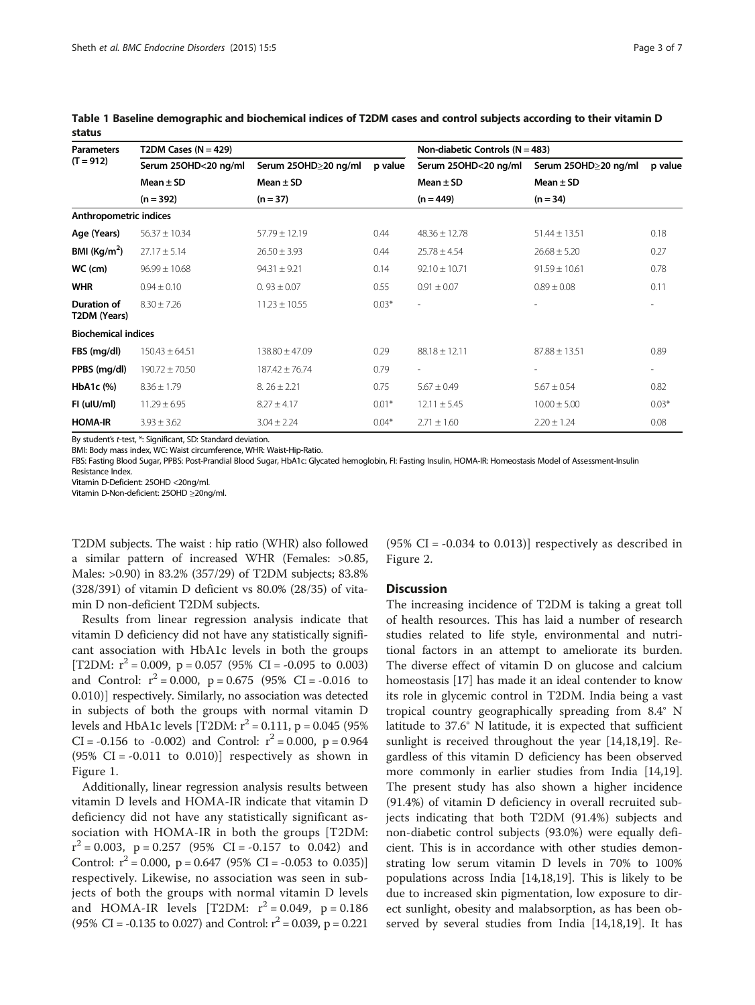| <b>Parameters</b><br>$(T = 912)$   | T2DM Cases ( $N = 429$ ) |                      |         | Non-diabetic Controls ( $N = 483$ ) |                      |         |
|------------------------------------|--------------------------|----------------------|---------|-------------------------------------|----------------------|---------|
|                                    | Serum 25OHD<20 ng/ml     | Serum 25OHD≥20 ng/ml | p value | Serum 25OHD<20 ng/ml                | Serum 25OHD≥20 ng/ml | p value |
|                                    | $Mean \pm SD$            | Mean $\pm$ SD        |         | Mean $\pm$ SD                       | Mean $\pm$ SD        |         |
|                                    | $(n = 392)$              | $(n = 37)$           |         | $(n = 449)$                         | $(n = 34)$           |         |
| Anthropometric indices             |                          |                      |         |                                     |                      |         |
| Age (Years)                        | $56.37 \pm 10.34$        | $57.79 \pm 12.19$    | 0.44    | $48.36 \pm 12.78$                   | $51.44 \pm 13.51$    | 0.18    |
| BMI ( $\text{Kg/m}^2$ )            | $27.17 \pm 5.14$         | $26.50 \pm 3.93$     | 0.44    | $25.78 \pm 4.54$                    | $26.68 \pm 5.20$     | 0.27    |
| WC (cm)                            | $96.99 \pm 10.68$        | $94.31 \pm 9.21$     | 0.14    | $92.10 \pm 10.71$                   | $91.59 \pm 10.61$    | 0.78    |
| <b>WHR</b>                         | $0.94 \pm 0.10$          | $0.93 \pm 0.07$      | 0.55    | $0.91 \pm 0.07$                     | $0.89 \pm 0.08$      | 0.11    |
| <b>Duration of</b><br>T2DM (Years) | $8.30 \pm 7.26$          | $11.23 \pm 10.55$    | $0.03*$ | $\overline{\phantom{m}}$            |                      |         |
| <b>Biochemical indices</b>         |                          |                      |         |                                     |                      |         |
| FBS (mg/dl)                        | $150.43 \pm 64.51$       | $138.80 \pm 47.09$   | 0.29    | $88.18 \pm 12.11$                   | $87.88 \pm 13.51$    | 0.89    |
| PPBS (mg/dl)                       | $190.72 \pm 70.50$       | $187.42 \pm 76.74$   | 0.79    | $\overline{\phantom{a}}$            | -                    |         |
| <b>HbA1c</b> (%)                   | $8.36 \pm 1.79$          | $8.26 \pm 2.21$      | 0.75    | $5.67 \pm 0.49$                     | $5.67 \pm 0.54$      | 0.82    |
| FI (uIU/ml)                        | $11.29 \pm 6.95$         | $8.27 \pm 4.17$      | $0.01*$ | $12.11 \pm 5.45$                    | $10.00 \pm 5.00$     | $0.03*$ |
| <b>HOMA-IR</b>                     | $3.93 \pm 3.62$          | $3.04 \pm 2.24$      | $0.04*$ | $2.71 \pm 1.60$                     | $2.20 \pm 1.24$      | 0.08    |

<span id="page-2-0"></span>Table 1 Baseline demographic and biochemical indices of T2DM cases and control subjects according to their vitamin D status

By student's t-test, \*: Significant, SD: Standard deviation.

BMI: Body mass index, WC: Waist circumference, WHR: Waist-Hip-Ratio.

FBS: Fasting Blood Sugar, PPBS: Post-Prandial Blood Sugar, HbA1c: Glycated hemoglobin, FI: Fasting Insulin, HOMA-IR: Homeostasis Model of Assessment-Insulin Resistance Index.

Vitamin D-Deficient: 25OHD <20ng/ml.

Vitamin D-Non-deficient: 25OHD ≥20ng/ml.

T2DM subjects. The waist : hip ratio (WHR) also followed a similar pattern of increased WHR (Females: >0.85, Males: >0.90) in 83.2% (357/29) of T2DM subjects; 83.8% (328/391) of vitamin D deficient vs 80.0% (28/35) of vitamin D non-deficient T2DM subjects.

Results from linear regression analysis indicate that vitamin D deficiency did not have any statistically significant association with HbA1c levels in both the groups [T2DM:  $r^2 = 0.009$ , p = 0.057 (95% CI = -0.095 to 0.003) and Control:  $r^2 = 0.000$ ,  $p = 0.675$  (95% CI = -0.016 to 0.010)] respectively. Similarly, no association was detected in subjects of both the groups with normal vitamin D levels and HbA1c levels [T2DM:  $r^2$  = 0.111, p = 0.045 (95%) CI = -0.156 to -0.002) and Control:  $r^2$  = 0.000, p = 0.964  $(95\% \text{ CI} = -0.011 \text{ to } 0.010)$ ] respectively as shown in Figure [1](#page-3-0).

Additionally, linear regression analysis results between vitamin D levels and HOMA-IR indicate that vitamin D deficiency did not have any statistically significant association with HOMA-IR in both the groups [T2DM:  $r^2 = 0.003$ ,  $p = 0.257$  (95% CI = -0.157 to 0.042) and Control:  $r^2 = 0.000$ ,  $p = 0.647$  (95% CI = -0.053 to 0.035)] respectively. Likewise, no association was seen in subjects of both the groups with normal vitamin D levels and HOMA-IR levels [T2DM:  $r^2 = 0.049$ ,  $p = 0.186$ (95% CI = -0.135 to 0.027) and Control:  $r^2$  = 0.039, p = 0.221

 $(95\% \text{ CI} = -0.034 \text{ to } 0.013)$ ] respectively as described in Figure [2](#page-4-0).

# **Discussion**

The increasing incidence of T2DM is taking a great toll of health resources. This has laid a number of research studies related to life style, environmental and nutritional factors in an attempt to ameliorate its burden. The diverse effect of vitamin D on glucose and calcium homeostasis [\[17](#page-6-0)] has made it an ideal contender to know its role in glycemic control in T2DM. India being a vast tropical country geographically spreading from 8.4° N latitude to 37.6° N latitude, it is expected that sufficient sunlight is received throughout the year [\[14,18,19](#page-6-0)]. Regardless of this vitamin D deficiency has been observed more commonly in earlier studies from India [\[14,19](#page-6-0)]. The present study has also shown a higher incidence (91.4%) of vitamin D deficiency in overall recruited subjects indicating that both T2DM (91.4%) subjects and non-diabetic control subjects (93.0%) were equally deficient. This is in accordance with other studies demonstrating low serum vitamin D levels in 70% to 100% populations across India [[14](#page-6-0),[18](#page-6-0),[19](#page-6-0)]. This is likely to be due to increased skin pigmentation, low exposure to direct sunlight, obesity and malabsorption, as has been observed by several studies from India [[14,18](#page-6-0),[19](#page-6-0)]. It has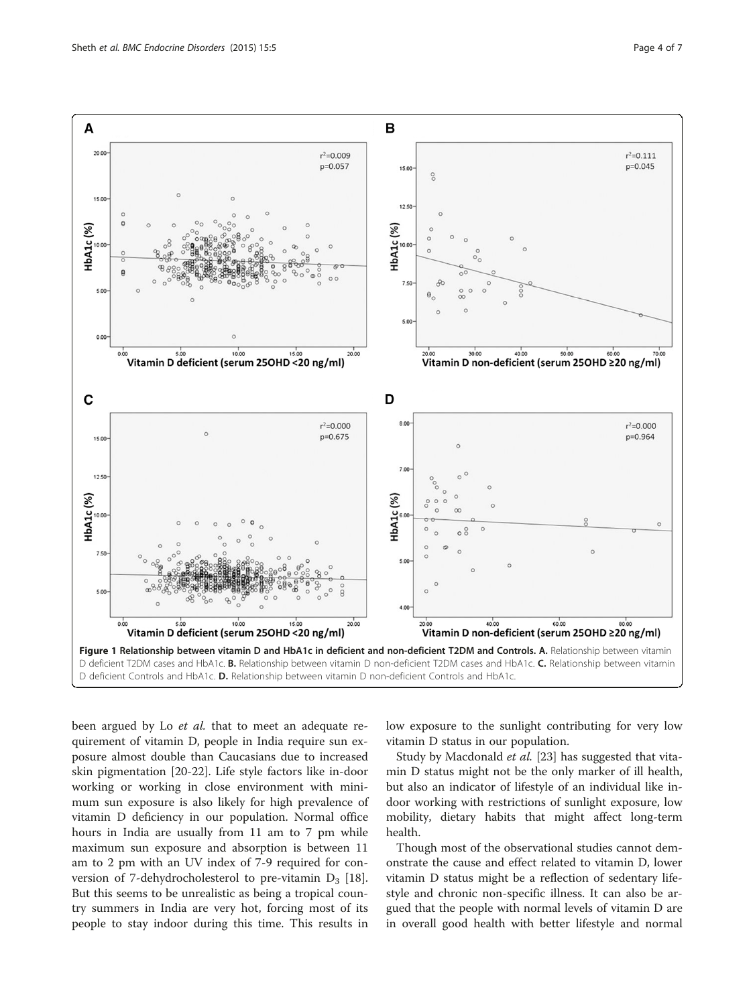<span id="page-3-0"></span>

been argued by Lo *et al.* that to meet an adequate requirement of vitamin D, people in India require sun exposure almost double than Caucasians due to increased skin pigmentation [[20-22](#page-6-0)]. Life style factors like in-door working or working in close environment with minimum sun exposure is also likely for high prevalence of vitamin D deficiency in our population. Normal office hours in India are usually from 11 am to 7 pm while maximum sun exposure and absorption is between 11 am to 2 pm with an UV index of 7-9 required for conversion of 7-dehydrocholesterol to pre-vitamin  $D_3$  [\[18](#page-6-0)]. But this seems to be unrealistic as being a tropical country summers in India are very hot, forcing most of its people to stay indoor during this time. This results in low exposure to the sunlight contributing for very low vitamin D status in our population.

Study by Macdonald et al. [[23](#page-6-0)] has suggested that vitamin D status might not be the only marker of ill health, but also an indicator of lifestyle of an individual like indoor working with restrictions of sunlight exposure, low mobility, dietary habits that might affect long-term health.

Though most of the observational studies cannot demonstrate the cause and effect related to vitamin D, lower vitamin D status might be a reflection of sedentary lifestyle and chronic non-specific illness. It can also be argued that the people with normal levels of vitamin D are in overall good health with better lifestyle and normal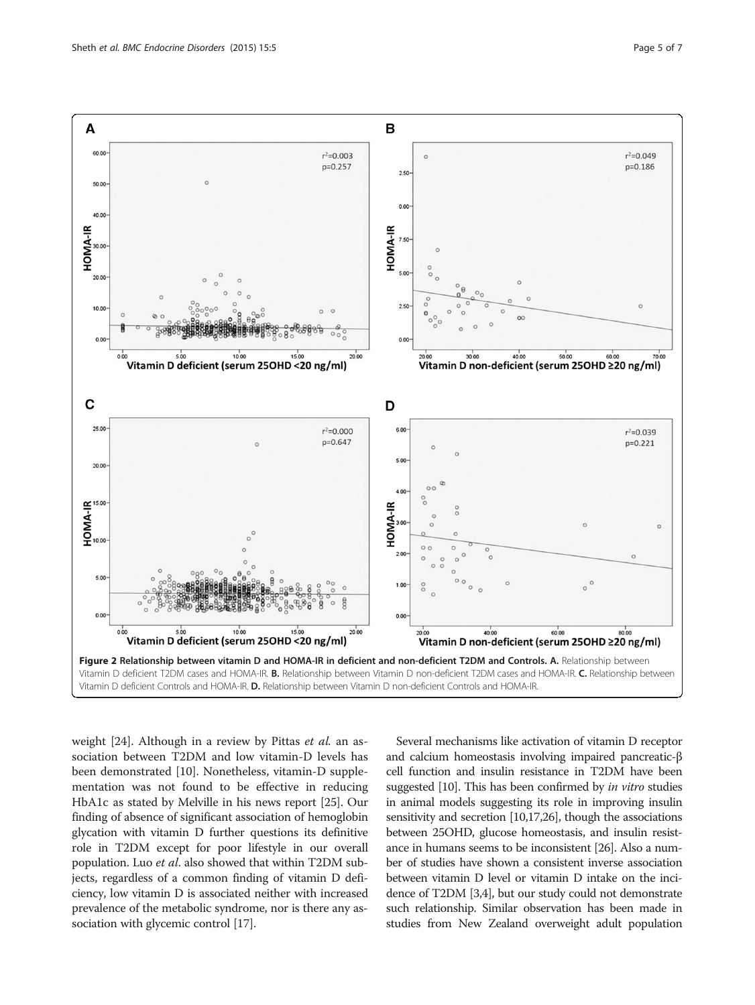<span id="page-4-0"></span>

weight [\[24](#page-6-0)]. Although in a review by Pittas et al. an association between T2DM and low vitamin-D levels has been demonstrated [[10\]](#page-6-0). Nonetheless, vitamin-D supplementation was not found to be effective in reducing HbA1c as stated by Melville in his news report [\[25\]](#page-6-0). Our finding of absence of significant association of hemoglobin glycation with vitamin D further questions its definitive role in T2DM except for poor lifestyle in our overall population. Luo et al. also showed that within T2DM subjects, regardless of a common finding of vitamin D deficiency, low vitamin D is associated neither with increased prevalence of the metabolic syndrome, nor is there any association with glycemic control [\[17\]](#page-6-0).

Several mechanisms like activation of vitamin D receptor and calcium homeostasis involving impaired pancreatic-β cell function and insulin resistance in T2DM have been suggested [[10](#page-6-0)]. This has been confirmed by *in vitro* studies in animal models suggesting its role in improving insulin sensitivity and secretion [\[10,17,26\]](#page-6-0), though the associations between 25OHD, glucose homeostasis, and insulin resistance in humans seems to be inconsistent [\[26](#page-6-0)]. Also a number of studies have shown a consistent inverse association between vitamin D level or vitamin D intake on the incidence of T2DM [[3,4](#page-6-0)], but our study could not demonstrate such relationship. Similar observation has been made in studies from New Zealand overweight adult population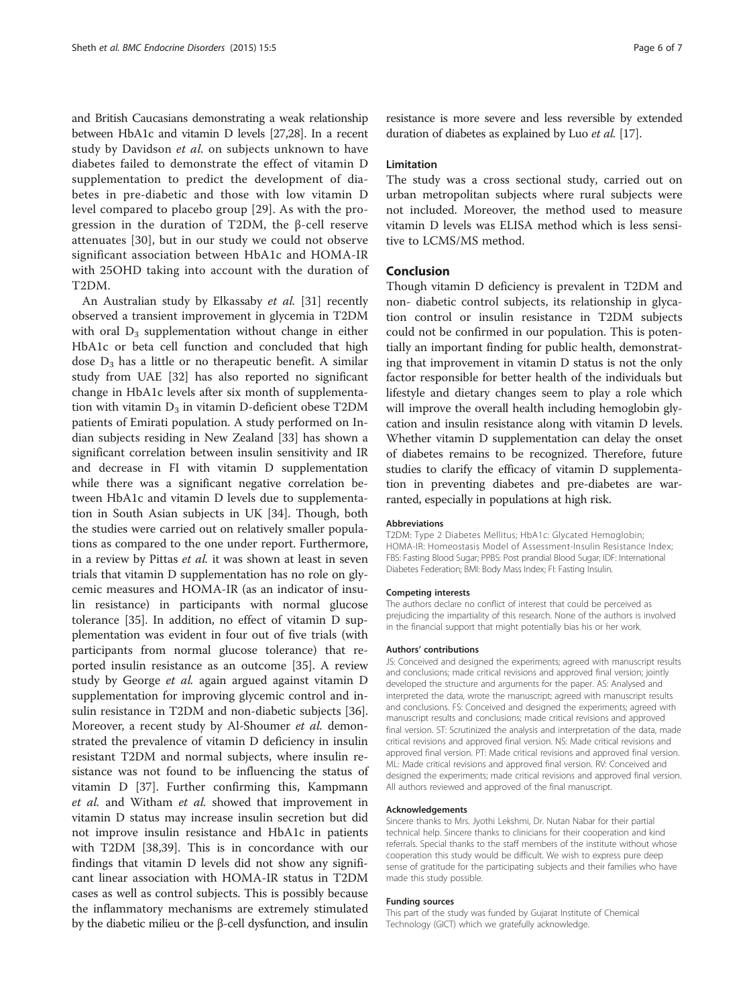and British Caucasians demonstrating a weak relationship between HbA1c and vitamin D levels [[27,28\]](#page-6-0). In a recent study by Davidson et al. on subjects unknown to have diabetes failed to demonstrate the effect of vitamin D supplementation to predict the development of diabetes in pre-diabetic and those with low vitamin D level compared to placebo group [[29\]](#page-6-0). As with the progression in the duration of T2DM, the β-cell reserve attenuates [[30\]](#page-6-0), but in our study we could not observe significant association between HbA1c and HOMA-IR with 25OHD taking into account with the duration of T2DM.

An Australian study by Elkassaby et al. [[31\]](#page-6-0) recently observed a transient improvement in glycemia in T2DM with oral  $D_3$  supplementation without change in either HbA1c or beta cell function and concluded that high dose  $D_3$  has a little or no therapeutic benefit. A similar study from UAE [[32\]](#page-6-0) has also reported no significant change in HbA1c levels after six month of supplementation with vitamin  $D_3$  in vitamin D-deficient obese T2DM patients of Emirati population. A study performed on Indian subjects residing in New Zealand [[33](#page-6-0)] has shown a significant correlation between insulin sensitivity and IR and decrease in FI with vitamin D supplementation while there was a significant negative correlation between HbA1c and vitamin D levels due to supplementation in South Asian subjects in UK [\[34\]](#page-6-0). Though, both the studies were carried out on relatively smaller populations as compared to the one under report. Furthermore, in a review by Pittas et al. it was shown at least in seven trials that vitamin D supplementation has no role on glycemic measures and HOMA-IR (as an indicator of insulin resistance) in participants with normal glucose tolerance [\[35](#page-6-0)]. In addition, no effect of vitamin D supplementation was evident in four out of five trials (with participants from normal glucose tolerance) that reported insulin resistance as an outcome [\[35](#page-6-0)]. A review study by George et al. again argued against vitamin D supplementation for improving glycemic control and insulin resistance in T2DM and non-diabetic subjects [\[36](#page-6-0)]. Moreover, a recent study by Al-Shoumer et al. demonstrated the prevalence of vitamin D deficiency in insulin resistant T2DM and normal subjects, where insulin resistance was not found to be influencing the status of vitamin D [\[37\]](#page-6-0). Further confirming this, Kampmann et al. and Witham et al. showed that improvement in vitamin D status may increase insulin secretion but did not improve insulin resistance and HbA1c in patients with T2DM [\[38,39](#page-6-0)]. This is in concordance with our findings that vitamin D levels did not show any significant linear association with HOMA-IR status in T2DM cases as well as control subjects. This is possibly because the inflammatory mechanisms are extremely stimulated by the diabetic milieu or the β-cell dysfunction, and insulin

resistance is more severe and less reversible by extended duration of diabetes as explained by Luo et al. [[17](#page-6-0)].

# Limitation

The study was a cross sectional study, carried out on urban metropolitan subjects where rural subjects were not included. Moreover, the method used to measure vitamin D levels was ELISA method which is less sensitive to LCMS/MS method.

# Conclusion

Though vitamin D deficiency is prevalent in T2DM and non- diabetic control subjects, its relationship in glycation control or insulin resistance in T2DM subjects could not be confirmed in our population. This is potentially an important finding for public health, demonstrating that improvement in vitamin D status is not the only factor responsible for better health of the individuals but lifestyle and dietary changes seem to play a role which will improve the overall health including hemoglobin glycation and insulin resistance along with vitamin D levels. Whether vitamin D supplementation can delay the onset of diabetes remains to be recognized. Therefore, future studies to clarify the efficacy of vitamin D supplementation in preventing diabetes and pre-diabetes are warranted, especially in populations at high risk.

#### Abbreviations

T2DM: Type 2 Diabetes Mellitus; HbA1c: Glycated Hemoglobin; HOMA-IR: Homeostasis Model of Assessment-Insulin Resistance Index; FBS: Fasting Blood Sugar; PPBS: Post prandial Blood Sugar; IDF: International Diabetes Federation; BMI: Body Mass Index; FI: Fasting Insulin.

#### Competing interests

The authors declare no conflict of interest that could be perceived as prejudicing the impartiality of this research. None of the authors is involved in the financial support that might potentially bias his or her work.

#### Authors' contributions

JS: Conceived and designed the experiments; agreed with manuscript results and conclusions; made critical revisions and approved final version; jointly developed the structure and arguments for the paper. AS: Analysed and interpreted the data, wrote the manuscript; agreed with manuscript results and conclusions. FS: Conceived and designed the experiments; agreed with manuscript results and conclusions; made critical revisions and approved final version. ST: Scrutinized the analysis and interpretation of the data, made critical revisions and approved final version. NS: Made critical revisions and approved final version. PT: Made critical revisions and approved final version. ML: Made critical revisions and approved final version. RV: Conceived and designed the experiments; made critical revisions and approved final version. All authors reviewed and approved of the final manuscript.

#### Acknowledgements

Sincere thanks to Mrs. Jyothi Lekshmi, Dr. Nutan Nabar for their partial technical help. Sincere thanks to clinicians for their cooperation and kind referrals. Special thanks to the staff members of the institute without whose cooperation this study would be difficult. We wish to express pure deep sense of gratitude for the participating subjects and their families who have made this study possible.

#### Funding sources

This part of the study was funded by Gujarat Institute of Chemical Technology (GICT) which we gratefully acknowledge.